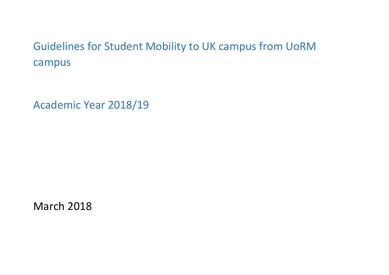## Guidelines for Student Mobility to UK campus from UoRM campus

Academic Year 2018/19

March 2018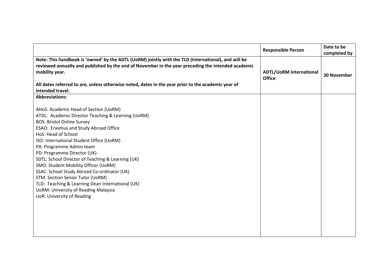|                                                                                                                                                                                                                                                                                                                                                                                                                                                                                                                                                                                                                                        | <b>Responsible Person</b>                       | Date to be<br>completed by |
|----------------------------------------------------------------------------------------------------------------------------------------------------------------------------------------------------------------------------------------------------------------------------------------------------------------------------------------------------------------------------------------------------------------------------------------------------------------------------------------------------------------------------------------------------------------------------------------------------------------------------------------|-------------------------------------------------|----------------------------|
| Note: This handbook is 'owned' by the ADTL (UoRM) jointly with the TLD (International), and will be<br>reviewed annually and published by the end of November in the year preceding the intended academic<br>mobility year.<br>All dates referred to are, unless otherwise noted, dates in the year prior to the academic year of<br>intended travel.                                                                                                                                                                                                                                                                                  | <b>ADTL/UoRM International</b><br><b>Office</b> | <b>30 November</b>         |
| <b>Abbreviations:</b>                                                                                                                                                                                                                                                                                                                                                                                                                                                                                                                                                                                                                  |                                                 |                            |
| AHoS: Academic Head of Section (UoRM)<br>ATDL: Academic Director Teaching & Learning (UoRM)<br><b>BOS: Bristol Online Survey</b><br>ESAO: Erasmus and Study Abroad Office<br>HoS: Head of School<br>ISO: International Student Office (UoRM)<br>PA: Programme Admin team<br>PD: Programme Director (UK)<br>SDTL: School Director of Teaching & Learning (UK)<br>SMO: Student Mobility Officer (UoRM)<br>SSAC: School Study Abroad Co-ordinator (UK)<br><b>STM: Section Senior Tutor (UoRM)</b><br>TLD: Teaching & Learning Dean International (UK)<br><b>UoRM: University of Reading Malaysia</b><br><b>UoR: University of Reading</b> |                                                 |                            |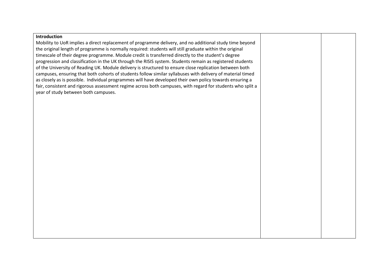## **Introduction** Mobility to UoR implies a direct replacement of programme delivery, and no additional study time beyond the original length of programme is normally required: students will still graduate within the original timescale of their degree programme. Module credit is transferred directly to the student's degree progression and classification in the UK through the RISIS system. Students remain as registered students of the University of Reading UK. Module delivery is structured to ensure close replication between both campuses, ensuring that both cohorts of students follow similar syllabuses with delivery of material timed as closely as is possible. Individual programmes will have developed their own policy towards ensuring a fair, consistent and rigorous assessment regime across both campuses, with regard for students who split a year of study between both campuses.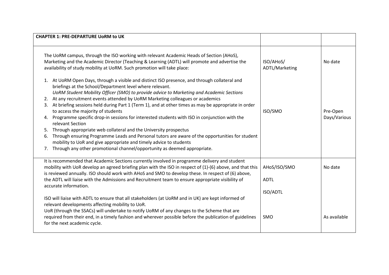| <b>CHAPTER 1: PRE-DEPARTURE UORM to UK</b>                                                                                                                                                                                                                                                                                                                                                                                                                                                                                                                                                                                                                                                                                                                                                                                                                                                                                                                       |                                                |                          |
|------------------------------------------------------------------------------------------------------------------------------------------------------------------------------------------------------------------------------------------------------------------------------------------------------------------------------------------------------------------------------------------------------------------------------------------------------------------------------------------------------------------------------------------------------------------------------------------------------------------------------------------------------------------------------------------------------------------------------------------------------------------------------------------------------------------------------------------------------------------------------------------------------------------------------------------------------------------|------------------------------------------------|--------------------------|
| The UoRM campus, through the ISO working with relevant Academic Heads of Section (AHoS),<br>Marketing and the Academic Director (Teaching & Learning (ADTL) will promote and advertise the<br>availability of study mobility at UoRM. Such promotion will take place:                                                                                                                                                                                                                                                                                                                                                                                                                                                                                                                                                                                                                                                                                            | ISO/AHoS/<br>ADTL/Marketing                    | No date                  |
| 1. At UoRM Open Days, through a visible and distinct ISO presence, and through collateral and<br>briefings at the School/Department level where relevant.<br>UoRM Student Mobility Officer (SMO) to provide advice to Marketing and Academic Sections<br>2. At any recruitment events attended by UoRM Marketing colleagues or academics<br>At briefing sessions held during Part 1 (Term 1), and at other times as may be appropriate in order<br>3.<br>to access the majority of students<br>Programme specific drop-in sessions for interested students with ISO in conjunction with the<br>4.<br>relevant Section<br>Through appropriate web collateral and the University prospectus<br>5.<br>Through ensuring Programme Leads and Personal tutors are aware of the opportunities for student<br>6.<br>mobility to UoR and give appropriate and timely advice to students<br>Through any other promotional channel/opportunity as deemed appropriate.<br>7. | ISO/SMO                                        | Pre-Open<br>Days/Various |
| It is recommended that Academic Sections currently involved in programme delivery and student<br>mobility with UoR develop an agreed briefing plan with the ISO in respect of (1)-(6) above, and that this<br>is reviewed annually. ISO should work with AHoS and SMO to develop these. In respect of (6) above,<br>the ADTL will liaise with the Admissions and Recruitment team to ensure appropriate visibility of<br>accurate information.                                                                                                                                                                                                                                                                                                                                                                                                                                                                                                                   | AHoS/ISO/SMO<br><b>ADTL</b><br><b>ISO/ADTL</b> | No date                  |
| ISO will liaise with ADTL to ensure that all stakeholders (at UoRM and in UK) are kept informed of<br>relevant developments affecting mobility to UoR.<br>UoR (through the SSACs) will undertake to notify UoRM of any changes to the Scheme that are<br>required from their end, in a timely fashion and wherever possible before the publication of guidelines<br>for the next academic cycle.                                                                                                                                                                                                                                                                                                                                                                                                                                                                                                                                                                 | SMO                                            | As available             |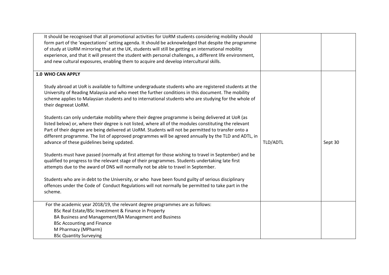| It should be recognised that all promotional activities for UoRM students considering mobility should<br>form part of the 'expectations' setting agenda. It should be acknowledged that despite the programme<br>of study at UoRM mirroring that at the UK, students will still be getting an international mobility<br>experience, and that it will present the student with personal challenges, a different life environment,<br>and new cultural exposures, enabling them to acquire and develop intercultural skills. |          |         |
|----------------------------------------------------------------------------------------------------------------------------------------------------------------------------------------------------------------------------------------------------------------------------------------------------------------------------------------------------------------------------------------------------------------------------------------------------------------------------------------------------------------------------|----------|---------|
| 1.0 WHO CAN APPLY                                                                                                                                                                                                                                                                                                                                                                                                                                                                                                          |          |         |
| Study abroad at UoR is available to fulltime undergraduate students who are registered students at the<br>University of Reading Malaysia and who meet the further conditions in this document. The mobility<br>scheme applies to Malaysian students and to international students who are studying for the whole of<br>their degreeat UoRM.                                                                                                                                                                                |          |         |
| Students can only undertake mobility where their degree programme is being delivered at UoR (as<br>listed below) or, where their degree is not listed, where all of the modules constituting the relevant<br>Part of their degree are being delivered at UoRM. Students will not be permitted to transfer onto a<br>different programme. The list of approved programmes will be agreed annually by the TLD and ADTL, in<br>advance of these guidelines being updated.                                                     | TLD/ADTL | Sept 30 |
| Students must have passed (normally at first attempt for those wishing to travel in September) and be<br>qualified to progress to the relevant stage of their programmes. Students undertaking late first<br>attempts due to the award of DNS will normally not be able to travel in September.                                                                                                                                                                                                                            |          |         |
| Students who are in debt to the University, or who have been found guilty of serious disciplinary<br>offences under the Code of Conduct Regulations will not normally be permitted to take part in the<br>scheme.                                                                                                                                                                                                                                                                                                          |          |         |
| For the academic year 2018/19, the relevant degree programmes are as follows:                                                                                                                                                                                                                                                                                                                                                                                                                                              |          |         |
| BSc Real Estate/BSc Investment & Finance in Property                                                                                                                                                                                                                                                                                                                                                                                                                                                                       |          |         |
| BA Business and Management/BA Management and Business                                                                                                                                                                                                                                                                                                                                                                                                                                                                      |          |         |
| <b>BSc Accounting and Finance</b><br>M Pharmacy (MPharm)                                                                                                                                                                                                                                                                                                                                                                                                                                                                   |          |         |
| <b>BSc Quantity Surveying</b>                                                                                                                                                                                                                                                                                                                                                                                                                                                                                              |          |         |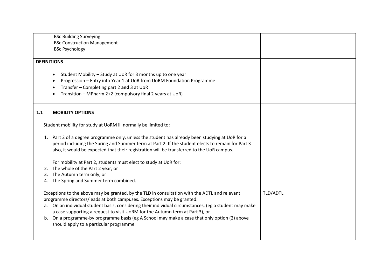| <b>BSc Building Surveying</b>                                                                         |          |
|-------------------------------------------------------------------------------------------------------|----------|
| <b>BSc Construction Management</b>                                                                    |          |
|                                                                                                       |          |
| <b>BSc Psychology</b>                                                                                 |          |
| <b>DEFINITIONS</b>                                                                                    |          |
|                                                                                                       |          |
| Student Mobility - Study at UoR for 3 months up to one year<br>$\bullet$                              |          |
| Progression - Entry into Year 1 at UoR from UoRM Foundation Programme                                 |          |
| Transfer - Completing part 2 and 3 at UoR                                                             |          |
|                                                                                                       |          |
| Transition - MPharm 2+2 (compulsory final 2 years at UoR)                                             |          |
|                                                                                                       |          |
| 1.1<br><b>MOBILITY OPTIONS</b>                                                                        |          |
|                                                                                                       |          |
| Student mobility for study at UoRM ill normally be limited to:                                        |          |
|                                                                                                       |          |
| 1. Part 2 of a degree programme only, unless the student has already been studying at UoR for a       |          |
| period including the Spring and Summer term at Part 2. If the student elects to remain for Part 3     |          |
| also, it would be expected that their registration will be transferred to the UoR campus.             |          |
|                                                                                                       |          |
| For mobility at Part 2, students must elect to study at UoR for:                                      |          |
| The whole of the Part 2 year, or<br>2.                                                                |          |
| The Autumn term only, or<br>3.                                                                        |          |
| The Spring and Summer term combined.<br>4.                                                            |          |
| Exceptions to the above may be granted, by the TLD in consultation with the ADTL and relevant         | TLD/ADTL |
| programme directors/leads at both campuses. Exceptions may be granted:                                |          |
| a. On an individual student basis, considering their individual circumstances, (eg a student may make |          |
| a case supporting a request to visit UoRM for the Autumn term at Part 3), or                          |          |
|                                                                                                       |          |
| b. On a programme-by programme basis (eg A School may make a case that only option (2) above          |          |
| should apply to a particular programme.                                                               |          |
|                                                                                                       |          |
|                                                                                                       |          |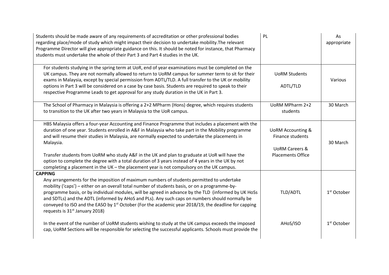| Students should be made aware of any requirements of accreditation or other professional bodies<br>regarding place/mode of study which might impact their decision to undertake mobility. The relevant<br>Programme Director will give appropriate guidance on this. It should be noted for instance, that Pharmacy<br>students must undertake the whole of their Part 3 and Part 4 studies in the UK.                                                                                                                                                                                                                        | PL                                                                                                        | As<br>appropriate       |
|-------------------------------------------------------------------------------------------------------------------------------------------------------------------------------------------------------------------------------------------------------------------------------------------------------------------------------------------------------------------------------------------------------------------------------------------------------------------------------------------------------------------------------------------------------------------------------------------------------------------------------|-----------------------------------------------------------------------------------------------------------|-------------------------|
| For students studying in the spring term at UoR, end of year examinations must be completed on the<br>UK campus. They are not normally allowed to return to UoRM campus for summer term to sit for their<br>exams in Malaysia, except by special permission from ADTL/TLD. A full transfer to the UK or mobility<br>options in Part 3 will be considered on a case by case basis. Students are required to speak to their<br>respective Programme Leads to get approval for any study duration in the UK in Part 3.                                                                                                           | <b>UoRM Students</b><br>ADTL/TLD                                                                          | Various                 |
| The School of Pharmacy in Malaysia is offering a 2+2 MPharm (Hons) degree, which requires students<br>to transition to the UK after two years in Malaysia to the UoR campus.                                                                                                                                                                                                                                                                                                                                                                                                                                                  | UoRM MPharm 2+2<br>students                                                                               | 30 March                |
| HBS Malaysia offers a four-year Accounting and Finance Programme that includes a placement with the<br>duration of one year. Students enrolled in A&F in Malaysia who take part in the Mobility programme<br>and will resume their studies in Malaysia, are normally expected to undertake the placements in<br>Malaysia.<br>Transfer students from UoRM who study A&F in the UK and plan to graduate at UoR will have the<br>option to complete the degree with a total duration of 3 years instead of 4 years in the UK by not<br>completing a placement in the UK - the placement year is not compulsory on the UK campus. | <b>UoRM Accounting &amp;</b><br>Finance students<br><b>UoRM Careers &amp;</b><br><b>Placements Office</b> | 30 March                |
| <b>CAPPING</b><br>Any arrangements for the imposition of maximum numbers of students permitted to undertake<br>mobility ('caps') - either on an overall total number of students basis, or on a programme-by-<br>programme basis, or by individual modules, will be agreed in advance by the TLD (informed by UK HoSs<br>and SDTLs) and the ADTL (informed by AHoS and PLs). Any such caps on numbers should normally be<br>conveyed to ISO and the EASO by 1 <sup>st</sup> October (For the academic year 2018/19, the deadline for capping<br>requests is 31 <sup>st</sup> January 2018)                                    | TLD/ADTL                                                                                                  | 1 <sup>st</sup> October |
| In the event of the number of UoRM students wishing to study at the UK campus exceeds the imposed<br>cap, UoRM Sections will be responsible for selecting the successful applicants. Schools must provide the                                                                                                                                                                                                                                                                                                                                                                                                                 | AHoS/ISO                                                                                                  | $1st$ October           |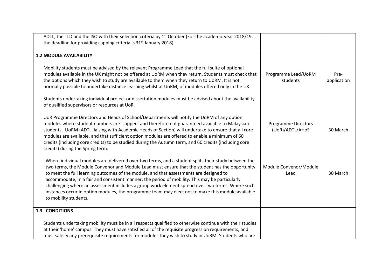| ADTL, the TLD and the ISO with their selection criteria by 1 <sup>st</sup> October (For the academic year 2018/19,<br>the deadline for providing capping criteria is 31 <sup>st</sup> January 2018).                                                                                                                                                                                                                                                                                                                                                                                                                                |                                               |                     |
|-------------------------------------------------------------------------------------------------------------------------------------------------------------------------------------------------------------------------------------------------------------------------------------------------------------------------------------------------------------------------------------------------------------------------------------------------------------------------------------------------------------------------------------------------------------------------------------------------------------------------------------|-----------------------------------------------|---------------------|
| <b>1.2 MODULE AVAILABILITY</b>                                                                                                                                                                                                                                                                                                                                                                                                                                                                                                                                                                                                      |                                               |                     |
| Mobility students must be advised by the relevant Programme Lead that the full suite of optional<br>modules available in the UK might not be offered at UoRM when they return. Students must check that<br>the options which they wish to study are available to them when they return to UoRM. It is not<br>normally possible to undertake distance learning whilst at UoRM, of modules offered only in the UK.<br>Students undertaking individual project or dissertation modules must be advised about the availability<br>of qualified supervisors or resources at UoR.                                                         | Programme Lead/UoRM<br>students               | Pre-<br>application |
| UoR Programme Directors and Heads of School/Departments will notify the UoRM of any option<br>modules where student numbers are 'capped' and therefore not guaranteed available to Malaysian<br>students. UoRM (ADTL liaising with Academic Heads of Section) will undertake to ensure that all core<br>modules are available, and that sufficient option modules are offered to enable a minimum of 60<br>credits (including core credits) to be studied during the Autumn term, and 60 credits (including core<br>credits) during the Spring term.                                                                                | <b>Programme Directors</b><br>(UoR)/ADTL/AHoS | 30 March            |
| Where individual modules are delivered over two terms, and a student splits their study between the<br>two terms, the Module Convenor and Module Lead must ensure that the student has the opportunity<br>to meet the full learning outcomes of the module, and that assessments are designed to<br>accommodate, in a fair and consistent manner, the period of mobility. This may be particularly<br>challenging where an assessment includes a group work element spread over two terms. Where such<br>instances occur in option modules, the programme team may elect not to make this module available<br>to mobility students. | Module Convenor/Module<br>Lead                | 30 March            |
| 1.3 CONDITIONS                                                                                                                                                                                                                                                                                                                                                                                                                                                                                                                                                                                                                      |                                               |                     |
| Students undertaking mobility must be in all respects qualified to otherwise continue with their studies<br>at their 'home' campus. They must have satisfied all of the requisite progression requirements, and<br>must satisfy any prerequisite requirements for modules they wish to study in UoRM. Students who are                                                                                                                                                                                                                                                                                                              |                                               |                     |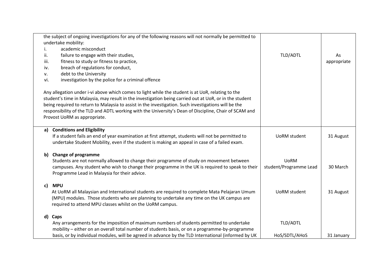|      | the subject of ongoing investigations for any of the following reasons will not normally be permitted to |                        |             |
|------|----------------------------------------------------------------------------------------------------------|------------------------|-------------|
|      | undertake mobility:                                                                                      |                        |             |
| i.   | academic misconduct                                                                                      |                        |             |
| ii.  | failure to engage with their studies,                                                                    | TLD/ADTL               | As          |
| iii. | fitness to study or fitness to practice,                                                                 |                        | appropriate |
| iv.  | breach of regulations for conduct,                                                                       |                        |             |
| ۷.   | debt to the University                                                                                   |                        |             |
| vi.  | investigation by the police for a criminal offence                                                       |                        |             |
|      | Any allegation under i-vi above which comes to light while the student is at UoR, relating to the        |                        |             |
|      | student's time in Malaysia, may result in the investigation being carried out at UoR, or in the student  |                        |             |
|      | being required to return to Malaysia to assist in the investigation. Such investigations will be the     |                        |             |
|      | responsibility of the TLD and ADTL working with the University's Dean of Discipline, Chair of SCAM and   |                        |             |
|      | Provost UoRM as appropriate.                                                                             |                        |             |
|      |                                                                                                          |                        |             |
| a)   | <b>Conditions and Eligibility</b>                                                                        |                        |             |
|      | If a student fails an end of year examination at first attempt, students will not be permitted to        | UoRM student           | 31 August   |
|      | undertake Student Mobility, even if the student is making an appeal in case of a failed exam.            |                        |             |
| b)   | <b>Change of programme</b>                                                                               |                        |             |
|      | Students are not normally allowed to change their programme of study on movement between                 | <b>UoRM</b>            |             |
|      | campuses. Any student who wish to change their programme in the UK is required to speak to their         | student/Programme Lead | 30 March    |
|      | Programme Lead in Malaysia for their advice.                                                             |                        |             |
| c)   | <b>MPU</b>                                                                                               |                        |             |
|      | At UoRM all Malaysian and International students are required to complete Mata Pelajaran Umum            | <b>UoRM</b> student    | 31 August   |
|      | (MPU) modules. Those students who are planning to undertake any time on the UK campus are                |                        |             |
|      | required to attend MPU classes whilst on the UoRM campus.                                                |                        |             |
|      | d) Caps                                                                                                  |                        |             |
|      | Any arrangements for the imposition of maximum numbers of students permitted to undertake                | TLD/ADTL               |             |
|      | mobility - either on an overall total number of students basis, or on a programme-by-programme           |                        |             |
|      | basis, or by individual modules, will be agreed in advance by the TLD International (informed by UK      | HoS/SDTL/AHoS          | 31 January  |
|      |                                                                                                          |                        |             |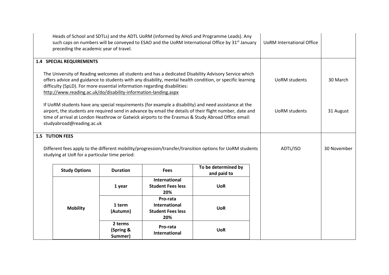| Heads of School and SDTLs) and the ADTL UoRM (informed by AHoS and Programme Leads). Any<br>such caps on numbers will be conveyed to ESAO and the UoRM International Office by 31 <sup>st</sup> January<br>preceding the academic year of travel.                                                                                                                  |                                                                                                                                                                                                                                                                                                                                                     |                                 |                                                                     |                                    | <b>UoRM International Office</b> |                      |           |
|--------------------------------------------------------------------------------------------------------------------------------------------------------------------------------------------------------------------------------------------------------------------------------------------------------------------------------------------------------------------|-----------------------------------------------------------------------------------------------------------------------------------------------------------------------------------------------------------------------------------------------------------------------------------------------------------------------------------------------------|---------------------------------|---------------------------------------------------------------------|------------------------------------|----------------------------------|----------------------|-----------|
|                                                                                                                                                                                                                                                                                                                                                                    | <b>1.4 SPECIAL REQUIREMENTS</b>                                                                                                                                                                                                                                                                                                                     |                                 |                                                                     |                                    |                                  |                      |           |
| The University of Reading welcomes all students and has a dedicated Disability Advisory Service which<br>offers advice and guidance to students with any disability, mental health condition, or specific learning<br>difficulty (SpLD). For more essential information regarding disabilities:<br>http://www.reading.ac.uk/do/disability-information-landing.aspx |                                                                                                                                                                                                                                                                                                                                                     |                                 |                                                                     |                                    | <b>UoRM</b> students             | 30 March             |           |
|                                                                                                                                                                                                                                                                                                                                                                    | If UoRM students have any special requirements (for example a disability) and need assistance at the<br>airport, the students are required send in advance by email the details of their flight number, date and<br>time of arrival at London Heathrow or Gatwick airports to the Erasmus & Study Abroad Office email:<br>studyabroad@reading.ac.uk |                                 |                                                                     |                                    |                                  | <b>UoRM</b> students | 31 August |
|                                                                                                                                                                                                                                                                                                                                                                    | <b>1.5 TUTION FEES</b>                                                                                                                                                                                                                                                                                                                              |                                 |                                                                     |                                    |                                  |                      |           |
| Different fees apply to the different mobility/progression/transfer/transition options for UoRM students<br>studying at UoR for a particular time period:                                                                                                                                                                                                          |                                                                                                                                                                                                                                                                                                                                                     |                                 |                                                                     | ADTL/ISO                           | 30 November                      |                      |           |
|                                                                                                                                                                                                                                                                                                                                                                    | <b>Study Options</b>                                                                                                                                                                                                                                                                                                                                | <b>Duration</b>                 | <b>Fees</b>                                                         | To be determined by<br>and paid to |                                  |                      |           |
|                                                                                                                                                                                                                                                                                                                                                                    |                                                                                                                                                                                                                                                                                                                                                     | 1 year                          | International<br><b>Student Fees less</b><br>20%                    | <b>UoR</b>                         |                                  |                      |           |
|                                                                                                                                                                                                                                                                                                                                                                    | <b>Mobility</b>                                                                                                                                                                                                                                                                                                                                     | 1 term<br>(Autumn)              | Pro-rata<br><b>International</b><br><b>Student Fees less</b><br>20% | <b>UoR</b>                         |                                  |                      |           |
|                                                                                                                                                                                                                                                                                                                                                                    |                                                                                                                                                                                                                                                                                                                                                     | 2 terms<br>(Spring &<br>Summer) | Pro-rata<br><b>International</b>                                    | <b>UoR</b>                         |                                  |                      |           |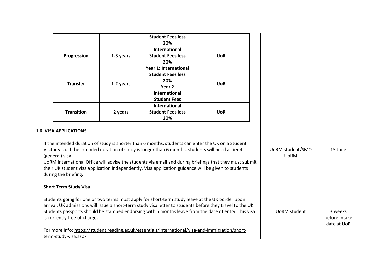|                 |                              |           | <b>Student Fees less</b><br>20%                                                                      |                                                                                                            |  |                     |               |
|-----------------|------------------------------|-----------|------------------------------------------------------------------------------------------------------|------------------------------------------------------------------------------------------------------------|--|---------------------|---------------|
|                 |                              |           | <b>International</b>                                                                                 |                                                                                                            |  |                     |               |
|                 | Progression                  | 1-3 years | <b>Student Fees less</b>                                                                             | <b>UoR</b>                                                                                                 |  |                     |               |
|                 |                              |           | 20%<br><b>Year 1: International</b>                                                                  |                                                                                                            |  |                     |               |
|                 |                              |           | <b>Student Fees less</b>                                                                             |                                                                                                            |  |                     |               |
|                 |                              |           | 20%                                                                                                  |                                                                                                            |  |                     |               |
|                 | <b>Transfer</b>              | 1-2 years | Year <sub>2</sub>                                                                                    | <b>UoR</b>                                                                                                 |  |                     |               |
|                 |                              |           | <b>International</b>                                                                                 |                                                                                                            |  |                     |               |
|                 |                              |           | <b>Student Fees</b>                                                                                  |                                                                                                            |  |                     |               |
|                 |                              |           | International                                                                                        |                                                                                                            |  |                     |               |
|                 | <b>Transition</b>            | 2 years   | <b>Student Fees less</b>                                                                             | <b>UoR</b>                                                                                                 |  |                     |               |
|                 |                              |           | 20%                                                                                                  |                                                                                                            |  |                     |               |
|                 | <b>1.6 VISA APPLICATIONS</b> |           |                                                                                                      |                                                                                                            |  |                     |               |
|                 |                              |           |                                                                                                      |                                                                                                            |  |                     |               |
|                 |                              |           |                                                                                                      | If the intended duration of study is shorter than 6 months, students can enter the UK on a Student         |  |                     |               |
|                 |                              |           | Visitor visa. If the intended duration of study is longer than 6 months, students will need a Tier 4 |                                                                                                            |  | UoRM student/SMO    | 15 June       |
| (general) visa. |                              |           | <b>UoRM</b>                                                                                          |                                                                                                            |  |                     |               |
|                 |                              |           |                                                                                                      | UoRM International Office will advise the students via email and during briefings that they must submit    |  |                     |               |
|                 |                              |           |                                                                                                      | their UK student visa application independently. Visa application guidance will be given to students       |  |                     |               |
|                 | during the briefing.         |           |                                                                                                      |                                                                                                            |  |                     |               |
|                 | <b>Short Term Study Visa</b> |           |                                                                                                      |                                                                                                            |  |                     |               |
|                 |                              |           |                                                                                                      |                                                                                                            |  |                     |               |
|                 |                              |           |                                                                                                      | Students going for one or two terms must apply for short-term study leave at the UK border upon            |  |                     |               |
|                 |                              |           |                                                                                                      | arrival. UK admissions will issue a short-term study visa letter to students before they travel to the UK. |  |                     |               |
|                 |                              |           |                                                                                                      | Students passports should be stamped endorsing with 6 months leave from the date of entry. This visa       |  | <b>UoRM</b> student | 3 weeks       |
|                 | is currently free of charge. |           |                                                                                                      |                                                                                                            |  |                     | before intake |
|                 |                              |           |                                                                                                      |                                                                                                            |  |                     | date at UoR   |
|                 |                              |           |                                                                                                      | For more info: https://student.reading.ac.uk/essentials/international/visa-and-immigration/short-          |  |                     |               |
|                 | term-study-visa.aspx         |           |                                                                                                      |                                                                                                            |  |                     |               |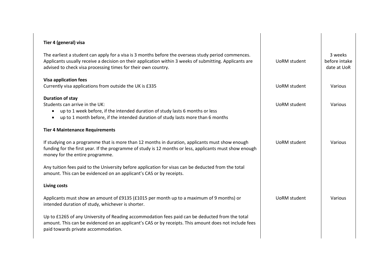| Tier 4 (general) visa                                                                                                                                                                                                                                                           |                     |                                         |
|---------------------------------------------------------------------------------------------------------------------------------------------------------------------------------------------------------------------------------------------------------------------------------|---------------------|-----------------------------------------|
| The earliest a student can apply for a visa is 3 months before the overseas study period commences.<br>Applicants usually receive a decision on their application within 3 weeks of submitting. Applicants are<br>advised to check visa processing times for their own country. | UoRM student        | 3 weeks<br>before intake<br>date at UoR |
| <b>Visa application fees</b><br>Currently visa applications from outside the UK is £335                                                                                                                                                                                         | <b>UoRM</b> student | Various                                 |
| <b>Duration of stay</b><br>Students can arrive in the UK:<br>up to 1 week before, if the intended duration of study lasts 6 months or less<br>$\bullet$<br>up to 1 month before, if the intended duration of study lasts more than 6 months<br>$\bullet$                        | UoRM student        | Various                                 |
| <b>Tier 4 Maintenance Requirements</b>                                                                                                                                                                                                                                          |                     |                                         |
| If studying on a programme that is more than 12 months in duration, applicants must show enough<br>funding for the first year. If the programme of study is 12 months or less, applicants must show enough<br>money for the entire programme.                                   | <b>UoRM</b> student | Various                                 |
| Any tuition fees paid to the University before application for visas can be deducted from the total<br>amount. This can be evidenced on an applicant's CAS or by receipts.                                                                                                      |                     |                                         |
| Living costs                                                                                                                                                                                                                                                                    |                     |                                         |
| Applicants must show an amount of £9135 (£1015 per month up to a maximum of 9 months) or<br>intended duration of study, whichever is shorter.                                                                                                                                   | <b>UoRM</b> student | Various                                 |
| Up to £1265 of any University of Reading accommodation fees paid can be deducted from the total<br>amount. This can be evidenced on an applicant's CAS or by receipts. This amount does not include fees<br>paid towards private accommodation.                                 |                     |                                         |
|                                                                                                                                                                                                                                                                                 |                     |                                         |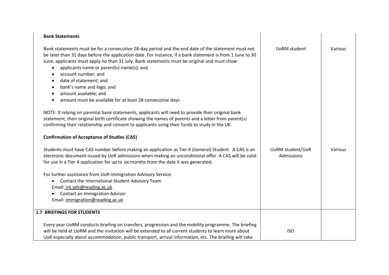| <b>Bank Statements</b>                                                                                                                                                                                                                                                                                                                                                                                                                                                                                                                                                                                                                                                                                                                                                                                                                                                                                            |                                |         |
|-------------------------------------------------------------------------------------------------------------------------------------------------------------------------------------------------------------------------------------------------------------------------------------------------------------------------------------------------------------------------------------------------------------------------------------------------------------------------------------------------------------------------------------------------------------------------------------------------------------------------------------------------------------------------------------------------------------------------------------------------------------------------------------------------------------------------------------------------------------------------------------------------------------------|--------------------------------|---------|
| Bank statements must be for a consecutive 28-day period and the end date of the statement must not<br>be later than 31 days before the application date. For instance, if a bank statement is from 1 June to 30<br>June, applicants must apply no than 31 July. Bank statements must be original and must show:<br>applicants name or parent(s) name(s); and<br>account number; and<br>date of statement; and<br>$\bullet$<br>bank's name and logo; and<br>amount available; and<br>amount must be available for at least 28 consecutive days<br>NOTE: If relying on parental bank statements, applicants will need to provide their original bank<br>statement, their original birth certificate showing the names of parents and a letter from parent(s)<br>confirming their relationship and consent to applicants using their funds to study in the UK.<br><b>Confirmation of Acceptance of Studies (CAS)</b> | <b>UoRM</b> student            | Various |
| Students must have CAS number before making an application as Tier 4 (General) Student. A CAS is an<br>electronic document issued by UoR admissions when making an unconditional offer. A CAS will be valid<br>for use in a Tier 4 application for up to six months from the date it was generated.<br>For further assistance from UoR Immigration Advisory Service:<br>Contact the International Student Advisory Team<br>$\bullet$<br>Email: int.adv@reading.ac.uk<br><b>Contact an Immigration Advisor</b><br>Email: immigration@reading.ac.uk                                                                                                                                                                                                                                                                                                                                                                 | UoRM student/UoR<br>Admissions | Various |
| <b>1.7 BRIEFINGS FOR STUDENTS</b>                                                                                                                                                                                                                                                                                                                                                                                                                                                                                                                                                                                                                                                                                                                                                                                                                                                                                 |                                |         |
| Every year UoRM conducts briefing on transfers, progression and the mobility programme. The briefing<br>will be held at UoRM and the invitation will be extended to all current students to learn more about<br>UoR especially about accommodation, public transport, arrival information, etc. The briefing will take                                                                                                                                                                                                                                                                                                                                                                                                                                                                                                                                                                                            | <b>ISO</b>                     |         |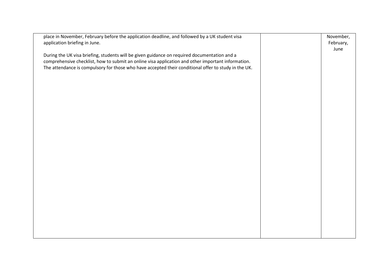| place in November, February before the application deadline, and followed by a UK student visa<br>application briefing in June.                                                                    | November,<br>February, |
|----------------------------------------------------------------------------------------------------------------------------------------------------------------------------------------------------|------------------------|
|                                                                                                                                                                                                    | June                   |
| During the UK visa briefing, students will be given guidance on required documentation and a<br>comprehensive checklist, how to submit an online visa application and other important information. |                        |
| The attendance is compulsory for those who have accepted their conditional offer to study in the UK.                                                                                               |                        |
|                                                                                                                                                                                                    |                        |
|                                                                                                                                                                                                    |                        |
|                                                                                                                                                                                                    |                        |
|                                                                                                                                                                                                    |                        |
|                                                                                                                                                                                                    |                        |
|                                                                                                                                                                                                    |                        |
|                                                                                                                                                                                                    |                        |
|                                                                                                                                                                                                    |                        |
|                                                                                                                                                                                                    |                        |
|                                                                                                                                                                                                    |                        |
|                                                                                                                                                                                                    |                        |
|                                                                                                                                                                                                    |                        |
|                                                                                                                                                                                                    |                        |
|                                                                                                                                                                                                    |                        |
|                                                                                                                                                                                                    |                        |
|                                                                                                                                                                                                    |                        |
|                                                                                                                                                                                                    |                        |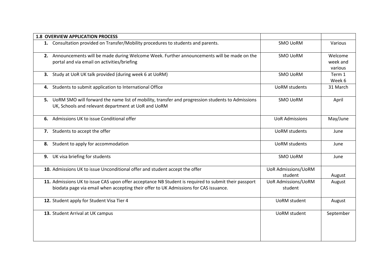|    | <b>1.8 OVERVIEW APPLICATION PROCESS</b>                                                                                                                                                      |                                       |                                |
|----|----------------------------------------------------------------------------------------------------------------------------------------------------------------------------------------------|---------------------------------------|--------------------------------|
|    | 1. Consultation provided on Transfer/Mobility procedures to students and parents.                                                                                                            | <b>SMO UoRM</b>                       | Various                        |
|    | 2. Announcements will be made during Welcome Week. Further announcements will be made on the<br>portal and via email on activities/briefing                                                  | <b>SMO UoRM</b>                       | Welcome<br>week and<br>various |
|    | 3. Study at UoR UK talk provided (during week 6 at UoRM)                                                                                                                                     | <b>SMO UoRM</b>                       | Term 1<br>Week 6               |
| 4. | Students to submit application to International Office                                                                                                                                       | <b>UoRM</b> students                  | 31 March                       |
|    | 5. UoRM SMO will forward the name list of mobility, transfer and progression students to Admissions<br>UK, Schools and relevant department at UoR and UoRM                                   | <b>SMO UoRM</b>                       | April                          |
| 6. | Admissions UK to issue Conditional offer                                                                                                                                                     | <b>UoR Admissions</b>                 | May/June                       |
|    | 7. Students to accept the offer                                                                                                                                                              | <b>UoRM</b> students                  | June                           |
| 8. | Student to apply for accommodation                                                                                                                                                           | <b>UoRM</b> students                  | June                           |
| 9. | UK visa briefing for students                                                                                                                                                                | <b>SMO UoRM</b>                       | June                           |
|    | 10. Admissions UK to issue Unconditional offer and student accept the offer                                                                                                                  | <b>UoR Admissions/UoRM</b><br>student | August                         |
|    | 11. Admissions UK to issue CAS upon offer acceptance NB Student is required to submit their passport<br>biodata page via email when accepting their offer to UK Admissions for CAS issuance. | <b>UoR Admissions/UoRM</b><br>student | August                         |
|    | 12. Student apply for Student Visa Tier 4                                                                                                                                                    | <b>UoRM</b> student                   | August                         |
|    | 13. Student Arrival at UK campus                                                                                                                                                             | <b>UoRM</b> student                   | September                      |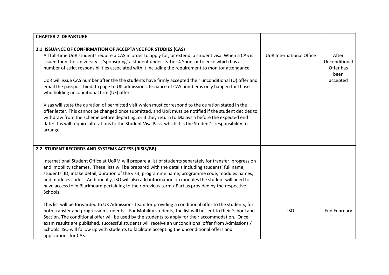| <b>CHAPTER 2: DEPARTURE</b>                                                                               |                                 |                     |
|-----------------------------------------------------------------------------------------------------------|---------------------------------|---------------------|
|                                                                                                           |                                 |                     |
| 2.1 ISSUANCE OF CONFIRMATION OF ACCEPTANCE FOR STUDIES (CAS)                                              |                                 |                     |
| All full-time UoR students require a CAS in order to apply for, or extend, a student visa. When a CAS is  | <b>UoR International Office</b> | After               |
| issued then the University is 'sponsoring' a student under its Tier 4 Sponsor Licence which has a         |                                 | Unconditional       |
| number of strict responsibilities associated with it including the requirement to monitor attendance.     |                                 | Offer has<br>been   |
| UoR will issue CAS number after the the students have firmly accepted their unconditional (U) offer and   |                                 | accepted            |
| email the passport biodata page to UK admissions. Issuance of CAS number is only happen for those         |                                 |                     |
| who holding unconditional firm (UF) offer.                                                                |                                 |                     |
|                                                                                                           |                                 |                     |
| Visas will state the duration of permitted visit which must correspond to the duration stated in the      |                                 |                     |
| offer letter. This cannot be changed once submitted, and UoR must be notified if the student decides to   |                                 |                     |
| withdraw from the scheme before departing, or if they return to Malaysia before the expected end          |                                 |                     |
| date: this will require alterations to the Student Visa Pass, which it is the Student's responsibility to |                                 |                     |
|                                                                                                           |                                 |                     |
| arrange.                                                                                                  |                                 |                     |
|                                                                                                           |                                 |                     |
| 2.2 STUDENT RECORDS AND SYSTEMS ACCESS (RISIS/BB)                                                         |                                 |                     |
|                                                                                                           |                                 |                     |
| International Student Office at UoRM will prepare a list of students separately for transfer, progression |                                 |                     |
|                                                                                                           |                                 |                     |
| and mobility schemes. These lists will be prepared with the details including students' full name,        |                                 |                     |
| students' ID, intake detail, duration of the visit, programme name, programme code, modules names,        |                                 |                     |
| and modules codes. Additionally, ISO will also add information on modules the student will need to        |                                 |                     |
| have access to in Blackboard pertaining to their previous term / Part as provided by the respective       |                                 |                     |
| Schools.                                                                                                  |                                 |                     |
|                                                                                                           |                                 |                     |
| This list will be forwarded to UK Admissions team for providing a conditional offer to the students, for  |                                 |                     |
| both transfer and progression students. For Mobility students, the list will be sent to their School and  | <b>ISO</b>                      | <b>End February</b> |
| Section. The conditional offer will be used by the students to apply for their accommodation. Once        |                                 |                     |
| exam results are published, successful students will receive an unconditional offer from Admissions /     |                                 |                     |
| Schools. ISO will follow up with students to facilitate accepting the unconditional offers and            |                                 |                     |
| applications for CAS.                                                                                     |                                 |                     |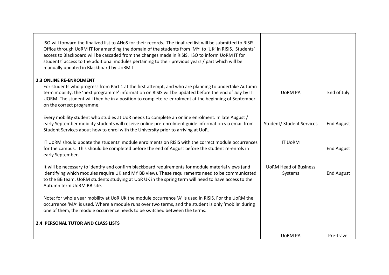| ISO will forward the finalized list to AHoS for their records. The finalized list will be submitted to RISIS<br>Office through UoRM IT for amending the domain of the students from 'MY' to 'UK' in RISIS. Students'<br>access to Blackboard will be cascaded from the changes made in RISIS. ISO to inform UoRM IT for<br>students' access to the additional modules pertaining to their previous years / part which will be<br>manually updated in Blackboard by UoRM IT. |                                         |                   |
|-----------------------------------------------------------------------------------------------------------------------------------------------------------------------------------------------------------------------------------------------------------------------------------------------------------------------------------------------------------------------------------------------------------------------------------------------------------------------------|-----------------------------------------|-------------------|
| <b>2.3 ONLINE RE-ENROLMENT</b>                                                                                                                                                                                                                                                                                                                                                                                                                                              |                                         |                   |
| For students who progress from Part 1 at the first attempt, and who are planning to undertake Autumn<br>term mobility, the 'next programme' information on RISIS will be updated before the end of July by IT<br>UORM. The student will then be in a position to complete re-enrolment at the beginning of September<br>on the correct programme.                                                                                                                           | <b>UORM PA</b>                          | End of July       |
| Every mobility student who studies at UoR needs to complete an online enrolment. In late August /<br>early September mobility students will receive online pre-enrolment guide information via email from<br>Student Services about how to enrol with the University prior to arriving at UoR.                                                                                                                                                                              | <b>Student/ Student Services</b>        | <b>End August</b> |
| IT UoRM should update the students' module enrolments on RISIS with the correct module occurrences<br>for the campus. This should be completed before the end of August before the student re-enrols in<br>early September.                                                                                                                                                                                                                                                 | <b>IT UORM</b>                          | <b>End August</b> |
| It will be necessary to identify and confirm blackboard requirements for module material views (and<br>identifying which modules require UK and MY BB view). These requirements need to be communicated<br>to the BB team. UoRM students studying at UoR UK in the spring term will need to have access to the<br>Autumn term UoRM BB site.                                                                                                                                 | <b>UORM Head of Business</b><br>Systems | <b>End August</b> |
| Note: for whole year mobility at UoR UK the module occurrence 'A' is used in RISIS. For the UoRM the<br>occurrence 'MA' is used. Where a module runs over two terms, and the student is only 'mobile' during<br>one of them, the module occurrence needs to be switched between the terms.                                                                                                                                                                                  |                                         |                   |
| <b>2.4 PERSONAL TUTOR AND CLASS LISTS</b>                                                                                                                                                                                                                                                                                                                                                                                                                                   |                                         |                   |
|                                                                                                                                                                                                                                                                                                                                                                                                                                                                             | <b>UORM PA</b>                          | Pre-travel        |
|                                                                                                                                                                                                                                                                                                                                                                                                                                                                             |                                         |                   |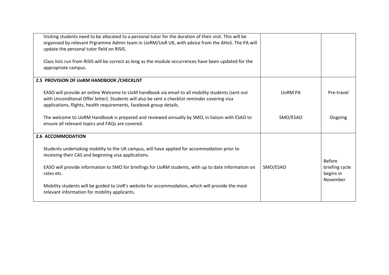| Visiting students need to be allocated to a personal tutor for the duration of their visit. This will be<br>organised by relevant Prgramme Admin team in UoRM/UoR UK, with advice from the AHoS. The PA will<br>update the personal tutor field on RISIS.                 |                |                                         |
|---------------------------------------------------------------------------------------------------------------------------------------------------------------------------------------------------------------------------------------------------------------------------|----------------|-----------------------------------------|
| Class lists run from RISIS will be correct as long as the module occurrences have been updated for the<br>appropriate campus.                                                                                                                                             |                |                                         |
| 2.5 PROVISION OF UORM HANDBOOK / CHECKLIST                                                                                                                                                                                                                                |                |                                         |
| EASO will provide an online Welcome to UoM handbook via email to all mobility students (sent out<br>with Unconditonal Offer letter). Students will also be sent a checklist reminder covering visa<br>applications, flights, health requirements, facebook group details. | <b>UORM PA</b> | Pre-travel                              |
| The welcome to UoRM Handbook is prepared and reviewed annually by SMO, in liaison with ESAO to<br>ensure all relevant topics and FAQs are covered.                                                                                                                        | SMO/ESAO       | Ongoing                                 |
| 2.6 ACCOMMODATION                                                                                                                                                                                                                                                         |                |                                         |
| Students undertaking mobility to the UK campus, will have applied for accommodation prior to<br>receiving their CAS and beginning visa applications.                                                                                                                      |                | <b>Before</b>                           |
| EASO will provide information to SMO for briefings for UoRM students, with up to date information on<br>rates etc.                                                                                                                                                        | SMO/ESAO       | briefing cycle<br>begins in<br>November |
| Mobility students will be guided to UoR's website for accommodation, which will provide the most<br>relevant information for mobility applicants.                                                                                                                         |                |                                         |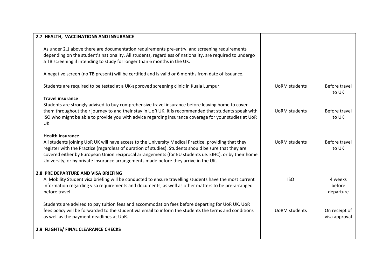| 2.7 HEALTH, VACCINATIONS AND INSURANCE                                                                                                                                                                        |                      |               |
|---------------------------------------------------------------------------------------------------------------------------------------------------------------------------------------------------------------|----------------------|---------------|
|                                                                                                                                                                                                               |                      |               |
| As under 2.1 above there are documentation requirements pre-entry, and screening requirements                                                                                                                 |                      |               |
| depending on the student's nationality. All students, regardless of nationality, are required to undergo                                                                                                      |                      |               |
| a TB screening if intending to study for longer than 6 months in the UK.                                                                                                                                      |                      |               |
|                                                                                                                                                                                                               |                      |               |
| A negative screen (no TB present) will be certified and is valid or 6 months from date of issuance.                                                                                                           |                      |               |
| Students are required to be tested at a UK-approved screening clinic in Kuala Lumpur.                                                                                                                         | <b>UoRM</b> students | Before travel |
|                                                                                                                                                                                                               |                      | to UK         |
| <b>Travel insurance</b>                                                                                                                                                                                       |                      |               |
| Students are strongly advised to buy comprehensive travel insurance before leaving home to cover                                                                                                              |                      |               |
| them throughout their journey to and their stay in UoR UK. It is recommended that students speak with                                                                                                         | <b>UoRM</b> students | Before travel |
| ISO who might be able to provide you with advice regarding insurance coverage for your studies at UoR                                                                                                         |                      | to UK         |
| UK.                                                                                                                                                                                                           |                      |               |
| <b>Health insurance</b>                                                                                                                                                                                       |                      |               |
|                                                                                                                                                                                                               | <b>UoRM</b> students | Before travel |
| All students joining UoR UK will have access to the University Medical Practice, providing that they<br>register with the Practice (regardless of duration of studies). Students should be sure that they are |                      | to UK         |
| covered either by European Union reciprocal arrangements (for EU students i.e. EIHC), or by their home                                                                                                        |                      |               |
| University, or by private insurance arrangements made before they arrive in the UK.                                                                                                                           |                      |               |
|                                                                                                                                                                                                               |                      |               |
| 2.8 PRE DEPARTURE AND VISA BRIEFING                                                                                                                                                                           |                      |               |
| A Mobility Student visa briefing will be conducted to ensure travelling students have the most current                                                                                                        | <b>ISO</b>           | 4 weeks       |
| information regarding visa requirements and documents, as well as other matters to be pre-arranged                                                                                                            |                      | before        |
| before travel.                                                                                                                                                                                                |                      | departure     |
|                                                                                                                                                                                                               |                      |               |
| Students are advised to pay tuition fees and accommodation fees before departing for UoR UK. UoR                                                                                                              |                      |               |
| fees policy will be forwarded to the student via email to inform the students the terms and conditions                                                                                                        | <b>UoRM</b> students | On receipt of |
| as well as the payment deadlines at UoR.                                                                                                                                                                      |                      | visa approval |
|                                                                                                                                                                                                               |                      |               |
| 2.9 FLIGHTS/ FINAL CLEARANCE CHECKS                                                                                                                                                                           |                      |               |
|                                                                                                                                                                                                               |                      |               |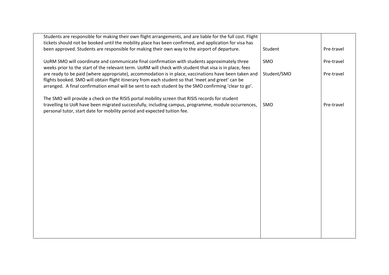| Students are responsible for making their own flight arrangements, and are liable for the full cost. Flight                                                                                            |             |            |
|--------------------------------------------------------------------------------------------------------------------------------------------------------------------------------------------------------|-------------|------------|
| tickets should not be booked until the mobility place has been confirmed, and application for visa has                                                                                                 |             |            |
| been approved. Students are responsible for making their own way to the airport of departure.                                                                                                          | Student     | Pre-travel |
|                                                                                                                                                                                                        |             |            |
| UoRM SMO will coordinate and communicate final confirmation with students approximately three                                                                                                          | SMO         | Pre-travel |
| weeks prior to the start of the relevant term. UoRM will check with student that visa is in place, fees                                                                                                |             |            |
| are ready to be paid (where appropriate), accommodation is in place, vaccinations have been taken and                                                                                                  | Student/SMO | Pre-travel |
| flights booked. SMO will obtain flight itinerary from each student so that 'meet and greet' can be                                                                                                     |             |            |
| arranged. A final confirmation email will be sent to each student by the SMO confirming 'clear to go'.                                                                                                 |             |            |
|                                                                                                                                                                                                        |             |            |
| The SMO will provide a check on the RISIS portal mobility screen that RISIS records for student<br>travelling to UoR have been migrated successfully, including campus, programme, module occurrences, | SMO         | Pre-travel |
| personal tutor, start date for mobility period and expected tuition fee.                                                                                                                               |             |            |
|                                                                                                                                                                                                        |             |            |
|                                                                                                                                                                                                        |             |            |
|                                                                                                                                                                                                        |             |            |
|                                                                                                                                                                                                        |             |            |
|                                                                                                                                                                                                        |             |            |
|                                                                                                                                                                                                        |             |            |
|                                                                                                                                                                                                        |             |            |
|                                                                                                                                                                                                        |             |            |
|                                                                                                                                                                                                        |             |            |
|                                                                                                                                                                                                        |             |            |
|                                                                                                                                                                                                        |             |            |
|                                                                                                                                                                                                        |             |            |
|                                                                                                                                                                                                        |             |            |
|                                                                                                                                                                                                        |             |            |
|                                                                                                                                                                                                        |             |            |
|                                                                                                                                                                                                        |             |            |
|                                                                                                                                                                                                        |             |            |
|                                                                                                                                                                                                        |             |            |
|                                                                                                                                                                                                        |             |            |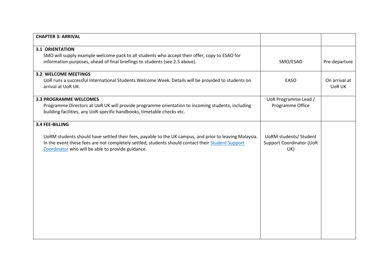| <b>CHAPTER 3: ARRIVAL</b>                                                                              |                                 |               |
|--------------------------------------------------------------------------------------------------------|---------------------------------|---------------|
| <b>3.1 ORIENTATION</b>                                                                                 |                                 |               |
| SMO will supply example welcome pack to all students who accept their offer, copy to ESAO for          |                                 |               |
| information purposes, ahead of final briefings to students (see 2.5 above).                            | SMO/ESAO                        | Pre-departure |
| <b>3.2 WELCOME MEETINGS</b>                                                                            |                                 |               |
| UoR runs a successful International Students Welcome Week. Details will be provided to students on     | EASO                            | On arrival at |
| arrival at UoR UK.                                                                                     |                                 | <b>UoR UK</b> |
| <b>3.3 PROGRAMME WELCOMES</b>                                                                          | UoR Programme Lead /            |               |
| Programme Directors at UoR UK will provide programme orientation to incoming students, including       | Programme Office                |               |
| building facilities, any UoR-specific handbooks, timetable checks etc.                                 |                                 |               |
| 3.4 FEE-BILLING                                                                                        |                                 |               |
| UoRM students should have settled their fees, payable to the UK campus, and prior to leaving Malaysia. | <b>UoRM students/ Student</b>   |               |
| In the event these fees are not completely settled, students should contact their Student Support      | <b>Support Coordinator (UoR</b> |               |
| Coordinator who will be able to provide guidance.                                                      | UK)                             |               |
|                                                                                                        |                                 |               |
|                                                                                                        |                                 |               |
|                                                                                                        |                                 |               |
|                                                                                                        |                                 |               |
|                                                                                                        |                                 |               |
|                                                                                                        |                                 |               |
|                                                                                                        |                                 |               |
|                                                                                                        |                                 |               |
|                                                                                                        |                                 |               |
|                                                                                                        |                                 |               |
|                                                                                                        |                                 |               |
|                                                                                                        |                                 |               |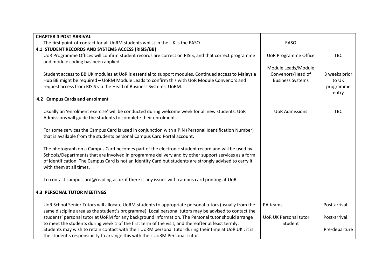| <b>CHAPTER 4 POST ARRIVAL</b>                                                                            |                              |               |
|----------------------------------------------------------------------------------------------------------|------------------------------|---------------|
| The first point-of-contact for all UoRM students whilst in the UK is the EASO                            | EASO                         |               |
| 4.1 STUDENT RECORDS AND SYSTEMS ACCESS (RISIS/BB)                                                        |                              |               |
| UoR Programme Offices will confirm student records are correct on RISIS, and that correct programme      | <b>UoR Programme Office</b>  | <b>TBC</b>    |
| and module coding has been applied.                                                                      |                              |               |
|                                                                                                          | Module Leads/Module          |               |
| Student access to BB UK modules at UoR is essential to support modules. Continued access to Malaysia     | Convenors/Head of            | 3 weeks prior |
| Hub BB might be required - UoRM Module Leads to confirm this with UoR Module Convenors and               | <b>Business Systems</b>      | to UK         |
| request access from RISIS via the Head of Business Systems, UoRM.                                        |                              | programme     |
|                                                                                                          |                              | entry         |
| 4.2 Campus Cards and enrolment                                                                           |                              |               |
| Usually an 'enrolment exercise' will be conducted during welcome week for all new students. UoR          | <b>UoR Admissions</b>        | <b>TBC</b>    |
| Admissions will guide the students to complete their enrolment.                                          |                              |               |
|                                                                                                          |                              |               |
| For some services the Campus Card is used in conjunction with a PIN (Personal Identification Number)     |                              |               |
| that is available from the students personal Campus Card Portal account.                                 |                              |               |
|                                                                                                          |                              |               |
| The photograph on a Campus Card becomes part of the electronic student record and will be used by        |                              |               |
| Schools/Departments that are involved in programme delivery and by other support services as a form      |                              |               |
| of identification. The Campus Card is not an Identity Card but students are strongly advised to carry it |                              |               |
| with them at all times.                                                                                  |                              |               |
|                                                                                                          |                              |               |
| To contact campuscard@reading.ac.uk if there is any issues with campus card printing at UoR.             |                              |               |
| <b>4.3 PERSONAL TUTOR MEETINGS</b>                                                                       |                              |               |
| UoR School Senior Tutors will allocate UoRM students to appropriate personal tutors (usually from the    | PA teams                     | Post-arrival  |
| same discipline area as the student's programme). Local personal tutors may be advised to contact the    |                              |               |
| students' personal tutor at UoRM for any background information. The Personal tutor should arrange       | <b>UoR UK Personal tutor</b> | Post-arrival  |
| to meet the students during week 1 of the first term of the visit, and thereafter at least termly.       | Student                      |               |
| Students may wish to retain contact with their UoRM personal tutor during their time at UoR UK : it is   |                              | Pre-departure |
| the student's responsibility to arrange this with their UoRM Personal Tutor.                             |                              |               |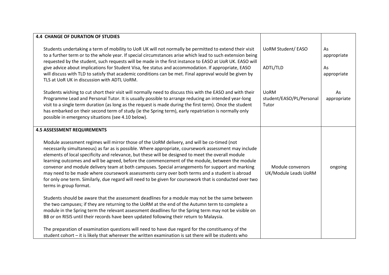| <b>4.4 CHANGE OF DURATION OF STUDIES</b>                                                                                                                                                                                                                                                                                                                                                                                                                                                                                                                                                                                                                                                                                                                                                                                                                                                           |                                                  |                                        |
|----------------------------------------------------------------------------------------------------------------------------------------------------------------------------------------------------------------------------------------------------------------------------------------------------------------------------------------------------------------------------------------------------------------------------------------------------------------------------------------------------------------------------------------------------------------------------------------------------------------------------------------------------------------------------------------------------------------------------------------------------------------------------------------------------------------------------------------------------------------------------------------------------|--------------------------------------------------|----------------------------------------|
| Students undertaking a term of mobility to UoR UK will not normally be permitted to extend their visit<br>to a further term or to the whole year. If special circumstances arise which lead to such extension being<br>requested by the student, such requests will be made in the first instance to EASO at UoR UK. EASO will<br>give advice about implications for Student Visa, fee status and accommodation. If appropriate, EASO<br>will discuss with TLD to satisfy that academic conditions can be met. Final approval would be given by<br>TLS at UoR UK in discussion with ADTL UoRM.                                                                                                                                                                                                                                                                                                     | <b>UoRM Student/ EASO</b><br>ADTL/TLD            | As<br>appropriate<br>As<br>appropriate |
| Students wishing to cut short their visit will normally need to discuss this with the EASO and with their<br>Programme Lead and Personal Tutor. It is usually possible to arrange reducing an intended year-long<br>visit to a single term duration (as long as the request is made during the first term). Once the student<br>has embarked on their second term of study (ie the Spring term), early repatriation is normally only<br>possible in emergency situations (see 4.10 below).                                                                                                                                                                                                                                                                                                                                                                                                         | <b>UoRM</b><br>student/EASO/PL/Personal<br>Tutor | As<br>appropriate                      |
| <b>4.5 ASSESSMENT REQUIREMENTS</b><br>Module assessment regimes will mirror those of the UoRM delivery, and will be co-timed (not<br>necessarily simultaneous) as far as is possible. Where appropriate, coursework assessment may include<br>elements of local specificity and relevance, but these will be designed to meet the overall module<br>learning outcomes and will be agreed, before the commencement of the module, between the module<br>convenor and module delivery team at both campuses. Special arrangements for support and marking<br>may need to be made where coursework assessments carry over both terms and a student is abroad<br>for only one term. Similarly, due regard will need to be given for coursework that is conducted over two<br>terms in group format.<br>Students should be aware that the assessment deadlines for a module may not be the same between | Module convenors<br>UK/Module Leads UoRM         | ongoing                                |
| the two campuses; if they are returning to the UoRM at the end of the Autumn term to complete a<br>module in the Spring term the relevant assessment deadlines for the Spring term may not be visible on<br>BB or on RISIS until their records have been updated following their return to Malaysia.<br>The preparation of examination questions will need to have due regard for the constituency of the<br>student cohort - it is likely that wherever the written examination is sat there will be students who                                                                                                                                                                                                                                                                                                                                                                                 |                                                  |                                        |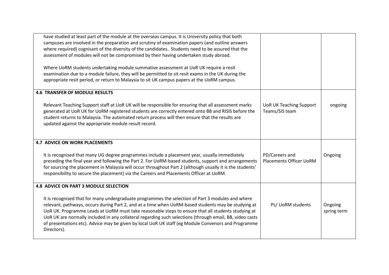| have studied at least part of the module at the overseas campus. It is University policy that both<br>campuses are involved in the preparation and scrutiny of examination papers (and outline answers |                                |             |
|--------------------------------------------------------------------------------------------------------------------------------------------------------------------------------------------------------|--------------------------------|-------------|
| where required) cognisant of the diversity of the candidates. Students need to be assured that the                                                                                                     |                                |             |
| assessment of modules will not be compromised by their having undertaken study abroad.                                                                                                                 |                                |             |
| Where UoRM students undertaking module summative assessment at UoR UK require a resit                                                                                                                  |                                |             |
| examination due to a module failure, they will be permitted to sit resit exams in the UK during the                                                                                                    |                                |             |
| appropriate resit period, or return to Malaysia to sit UK campus papers at the UoRM campus.                                                                                                            |                                |             |
| <b>4.6 TRANSFER OF MODULE RESULTS</b>                                                                                                                                                                  |                                |             |
| Relevant Teaching Support staff at UoR UK will be responsible for ensuring that all assessment marks                                                                                                   | <b>UoR UK Teaching Support</b> | ongoing     |
| generated at UoR UK for UoRM registered students are correctly entered onto BB and RISIS before the                                                                                                    | Teams/SIS team                 |             |
| student returns to Malaysia. The automated return process will then ensure that the results are                                                                                                        |                                |             |
| updated against the appropriate module result record.                                                                                                                                                  |                                |             |
|                                                                                                                                                                                                        |                                |             |
| <b>4.7 ADVICE ON WORK PLACEMENTS</b>                                                                                                                                                                   |                                |             |
| It is recognised that many UG degree programmes include a placement year, usually immediately                                                                                                          | PD/Careers and                 | Ongoing     |
| preceding the final year and following the Part 2. For UoRM-based students, support and arrangements                                                                                                   | <b>Placements Officer UoRM</b> |             |
| for sourcing the placement in Malaysia will occur throughout Part 2 (although usually it is the students'                                                                                              |                                |             |
| responsibility to secure the placement) via the Careers and Placements Officer at UoRM.                                                                                                                |                                |             |
| 4.8 ADVICE ON PART 3 MODULE SELECTION                                                                                                                                                                  |                                |             |
| It is recognised that for many undergraduate programmes the selection of Part 3 modules and where                                                                                                      |                                |             |
| relevant, pathways, occurs during Part 2, and at a time when UoRM-based students may be studying at                                                                                                    | PL/ UoRM students              | Ongoing     |
| UoR UK. Programme Leads at UoRM must take reasonable steps to ensure that all students studying at                                                                                                     |                                | spring term |
| UoR UK are normally included in any collateral regarding such selections (through email, BB, video casts                                                                                               |                                |             |
| of presentations etc). Advice may be given by local UoR UK staff (eg Module Convenors and Programme                                                                                                    |                                |             |
| Directors).                                                                                                                                                                                            |                                |             |
|                                                                                                                                                                                                        |                                |             |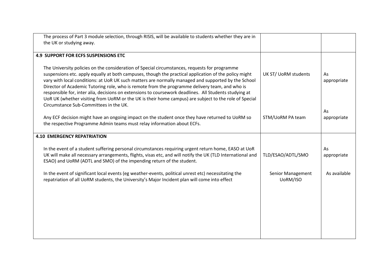| The process of Part 3 module selection, through RISIS, will be available to students whether they are in                                                                                                                                                                                                                                                                                                                                                                                                                                                                                                                           |                               |                   |
|------------------------------------------------------------------------------------------------------------------------------------------------------------------------------------------------------------------------------------------------------------------------------------------------------------------------------------------------------------------------------------------------------------------------------------------------------------------------------------------------------------------------------------------------------------------------------------------------------------------------------------|-------------------------------|-------------------|
| the UK or studying away.                                                                                                                                                                                                                                                                                                                                                                                                                                                                                                                                                                                                           |                               |                   |
| <b>4.9 SUPPORT FOR ECFS SUSPENSIONS ETC</b>                                                                                                                                                                                                                                                                                                                                                                                                                                                                                                                                                                                        |                               |                   |
| The University policies on the consideration of Special circumstances, requests for programme<br>suspensions etc. apply equally at both campuses, though the practical application of the policy might<br>vary with local conditions: at UoR UK such matters are normally managed and supported by the School<br>Director of Academic Tutoring role, who is remote from the programme delivery team, and who is<br>responsible for, inter alia, decisions on extensions to coursework deadlines. All Students studying at<br>UoR UK (whether visiting from UoRM or the UK is their home campus) are subject to the role of Special | UK ST/ UoRM students          | As<br>appropriate |
| Circumstance Sub-Committees in the UK.                                                                                                                                                                                                                                                                                                                                                                                                                                                                                                                                                                                             |                               | As                |
| Any ECF decision might have an ongoing impact on the student once they have returned to UoRM so<br>the respective Programme Admin teams must relay information about ECFs.                                                                                                                                                                                                                                                                                                                                                                                                                                                         | STM/UoRM PA team              | appropriate       |
| <b>4.10 EMERGENCY REPATRIATION</b>                                                                                                                                                                                                                                                                                                                                                                                                                                                                                                                                                                                                 |                               |                   |
| In the event of a student suffering personal circumstances requiring urgent return home, EASO at UoR<br>UK will make all necessary arrangements, flights, visas etc, and will notify the UK (TLD International and<br>ESAO) and UoRM (ADTL and SMO) of the impending return of the student.                                                                                                                                                                                                                                                                                                                                        | TLD/ESAO/ADTL/SMO             | As<br>appropriate |
| In the event of significant local events (eg weather-events, political unrest etc) necessitating the<br>repatriation of all UoRM students, the University's Major Incident plan will come into effect                                                                                                                                                                                                                                                                                                                                                                                                                              | Senior Management<br>UoRM/ISO | As available      |
|                                                                                                                                                                                                                                                                                                                                                                                                                                                                                                                                                                                                                                    |                               |                   |
|                                                                                                                                                                                                                                                                                                                                                                                                                                                                                                                                                                                                                                    |                               |                   |
|                                                                                                                                                                                                                                                                                                                                                                                                                                                                                                                                                                                                                                    |                               |                   |
|                                                                                                                                                                                                                                                                                                                                                                                                                                                                                                                                                                                                                                    |                               |                   |
|                                                                                                                                                                                                                                                                                                                                                                                                                                                                                                                                                                                                                                    |                               |                   |